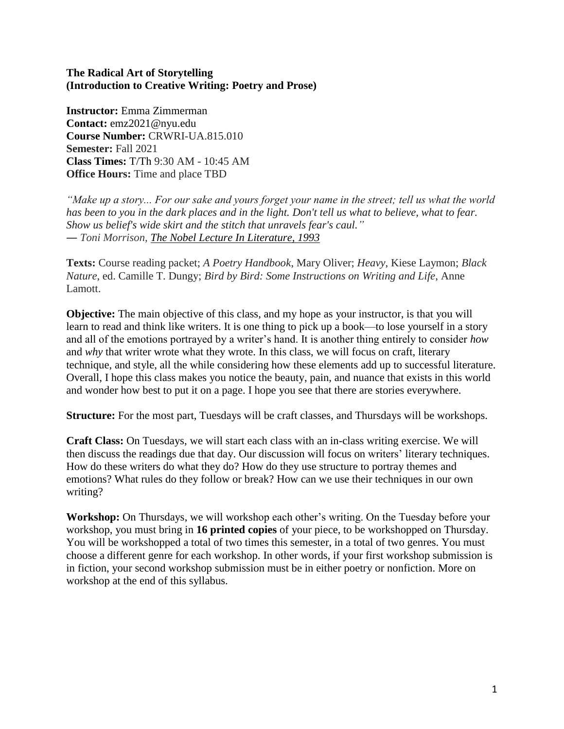#### **The Radical Art of Storytelling (Introduction to Creative Writing: Poetry and Prose)**

**Instructor:** Emma Zimmerman **Contact:** emz2021@nyu.edu **Course Number:** CRWRI-UA.815.010 **Semester:** Fall 2021 **Class Times:** T/Th 9:30 AM - 10:45 AM **Office Hours:** Time and place TBD

*"Make up a story... For our sake and yours forget your name in the street; tell us what the world has been to you in the dark places and in the light. Don't tell us what to believe, what to fear. Show us belief's wide skirt and the stitch that unravels fear's caul." ― Toni Morrison, [The Nobel Lecture In Literature, 1993](https://www.goodreads.com/work/quotes/899)*

**Texts:** Course reading packet; *A Poetry Handbook*, Mary Oliver; *Heavy*, Kiese Laymon; *Black Nature*, ed. Camille T. Dungy; *Bird by Bird: Some Instructions on Writing and Life*, Anne Lamott.

**Objective:** The main objective of this class, and my hope as your instructor, is that you will learn to read and think like writers. It is one thing to pick up a book—to lose yourself in a story and all of the emotions portrayed by a writer's hand. It is another thing entirely to consider *how* and *why* that writer wrote what they wrote. In this class, we will focus on craft, literary technique, and style, all the while considering how these elements add up to successful literature. Overall, I hope this class makes you notice the beauty, pain, and nuance that exists in this world and wonder how best to put it on a page. I hope you see that there are stories everywhere.

**Structure:** For the most part, Tuesdays will be craft classes, and Thursdays will be workshops.

**Craft Class:** On Tuesdays, we will start each class with an in-class writing exercise. We will then discuss the readings due that day. Our discussion will focus on writers' literary techniques. How do these writers do what they do? How do they use structure to portray themes and emotions? What rules do they follow or break? How can we use their techniques in our own writing?

**Workshop:** On Thursdays, we will workshop each other's writing. On the Tuesday before your workshop, you must bring in **16 printed copies** of your piece, to be workshopped on Thursday. You will be workshopped a total of two times this semester, in a total of two genres. You must choose a different genre for each workshop. In other words, if your first workshop submission is in fiction, your second workshop submission must be in either poetry or nonfiction. More on workshop at the end of this syllabus.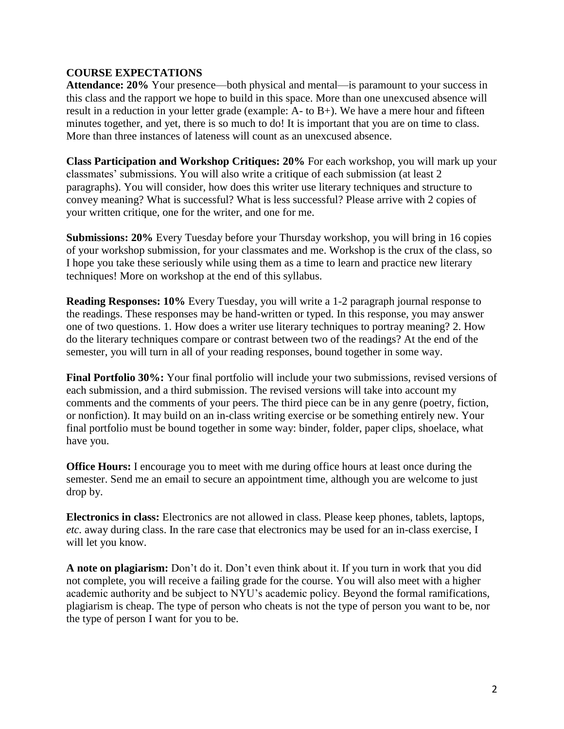## **COURSE EXPECTATIONS**

**Attendance: 20%** Your presence—both physical and mental—is paramount to your success in this class and the rapport we hope to build in this space. More than one unexcused absence will result in a reduction in your letter grade (example: A- to B+). We have a mere hour and fifteen minutes together, and yet, there is so much to do! It is important that you are on time to class. More than three instances of lateness will count as an unexcused absence.

**Class Participation and Workshop Critiques: 20%** For each workshop, you will mark up your classmates' submissions. You will also write a critique of each submission (at least 2 paragraphs). You will consider, how does this writer use literary techniques and structure to convey meaning? What is successful? What is less successful? Please arrive with 2 copies of your written critique, one for the writer, and one for me.

**Submissions: 20%** Every Tuesday before your Thursday workshop, you will bring in 16 copies of your workshop submission, for your classmates and me. Workshop is the crux of the class, so I hope you take these seriously while using them as a time to learn and practice new literary techniques! More on workshop at the end of this syllabus.

**Reading Responses: 10%** Every Tuesday, you will write a 1-2 paragraph journal response to the readings. These responses may be hand-written or typed. In this response, you may answer one of two questions. 1. How does a writer use literary techniques to portray meaning? 2. How do the literary techniques compare or contrast between two of the readings? At the end of the semester, you will turn in all of your reading responses, bound together in some way.

**Final Portfolio 30%:** Your final portfolio will include your two submissions, revised versions of each submission, and a third submission. The revised versions will take into account my comments and the comments of your peers. The third piece can be in any genre (poetry, fiction, or nonfiction). It may build on an in-class writing exercise or be something entirely new. Your final portfolio must be bound together in some way: binder, folder, paper clips, shoelace, what have you.

**Office Hours:** I encourage you to meet with me during office hours at least once during the semester. Send me an email to secure an appointment time, although you are welcome to just drop by.

**Electronics in class:** Electronics are not allowed in class. Please keep phones, tablets, laptops, *etc.* away during class. In the rare case that electronics may be used for an in-class exercise, I will let you know.

**A note on plagiarism:** Don't do it. Don't even think about it. If you turn in work that you did not complete, you will receive a failing grade for the course. You will also meet with a higher academic authority and be subject to NYU's academic policy. Beyond the formal ramifications, plagiarism is cheap. The type of person who cheats is not the type of person you want to be, nor the type of person I want for you to be.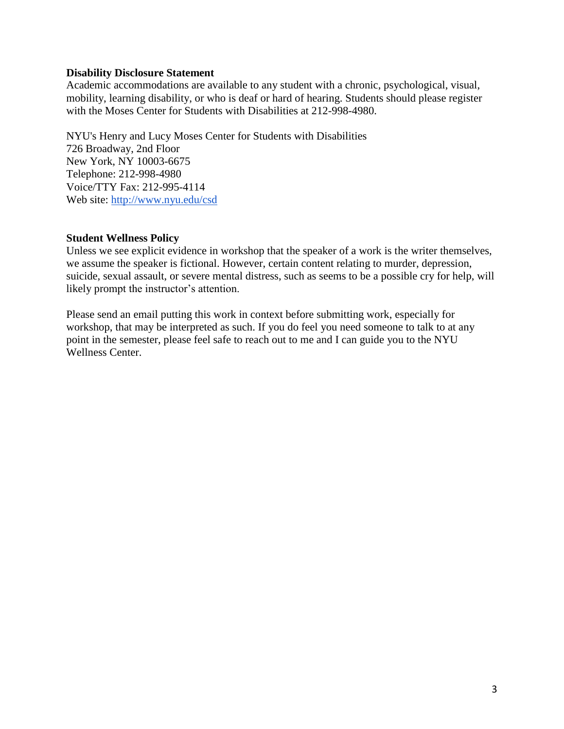#### **Disability Disclosure Statement**

Academic accommodations are available to any student with a chronic, psychological, visual, mobility, learning disability, or who is deaf or hard of hearing. Students should please register with the Moses Center for Students with Disabilities at 212-998-4980.

NYU's Henry and Lucy Moses Center for Students with Disabilities 726 Broadway, 2nd Floor New York, NY 10003-6675 Telephone: 212-998-4980 Voice/TTY Fax: 212-995-4114 Web site: <http://www.nyu.edu/csd>

#### **Student Wellness Policy**

Unless we see explicit evidence in workshop that the speaker of a work is the writer themselves, we assume the speaker is fictional. However, certain content relating to murder, depression, suicide, sexual assault, or severe mental distress, such as seems to be a possible cry for help, will likely prompt the instructor's attention.

Please send an email putting this work in context before submitting work, especially for workshop, that may be interpreted as such. If you do feel you need someone to talk to at any point in the semester, please feel safe to reach out to me and I can guide you to the NYU Wellness Center.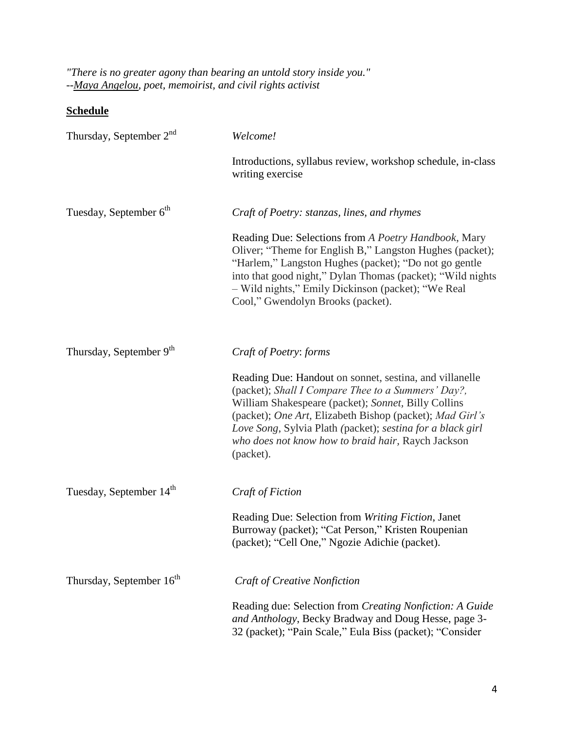*"There is no greater agony than bearing an untold story inside you." -[-Maya Angelou,](http://mayaangelou.com/) poet, memoirist, and civil rights activist*

# **Schedule**

| Thursday, September 2 <sup>nd</sup>  | Welcome!                                                                                                                                                                                                                                                                                                                                                          |
|--------------------------------------|-------------------------------------------------------------------------------------------------------------------------------------------------------------------------------------------------------------------------------------------------------------------------------------------------------------------------------------------------------------------|
|                                      | Introductions, syllabus review, workshop schedule, in-class<br>writing exercise                                                                                                                                                                                                                                                                                   |
| Tuesday, September 6 <sup>th</sup>   | Craft of Poetry: stanzas, lines, and rhymes                                                                                                                                                                                                                                                                                                                       |
|                                      | Reading Due: Selections from A Poetry Handbook, Mary<br>Oliver; "Theme for English B," Langston Hughes (packet);<br>"Harlem," Langston Hughes (packet); "Do not go gentle<br>into that good night," Dylan Thomas (packet); "Wild nights<br>- Wild nights," Emily Dickinson (packet); "We Real<br>Cool," Gwendolyn Brooks (packet).                                |
| Thursday, September 9 <sup>th</sup>  | Craft of Poetry: forms                                                                                                                                                                                                                                                                                                                                            |
|                                      | Reading Due: Handout on sonnet, sestina, and villanelle<br>(packet); Shall I Compare Thee to a Summers' Day?,<br>William Shakespeare (packet); Sonnet, Billy Collins<br>(packet); One Art, Elizabeth Bishop (packet); Mad Girl's<br>Love Song, Sylvia Plath (packet); sestina for a black girl<br>who does not know how to braid hair, Raych Jackson<br>(packet). |
| Tuesday, September 14 <sup>th</sup>  | Craft of Fiction                                                                                                                                                                                                                                                                                                                                                  |
|                                      | Reading Due: Selection from Writing Fiction, Janet<br>Burroway (packet); "Cat Person," Kristen Roupenian<br>(packet); "Cell One," Ngozie Adichie (packet).                                                                                                                                                                                                        |
| Thursday, September 16 <sup>th</sup> | Craft of Creative Nonfiction                                                                                                                                                                                                                                                                                                                                      |
|                                      | Reading due: Selection from Creating Nonfiction: A Guide<br>and Anthology, Becky Bradway and Doug Hesse, page 3-<br>32 (packet); "Pain Scale," Eula Biss (packet); "Consider                                                                                                                                                                                      |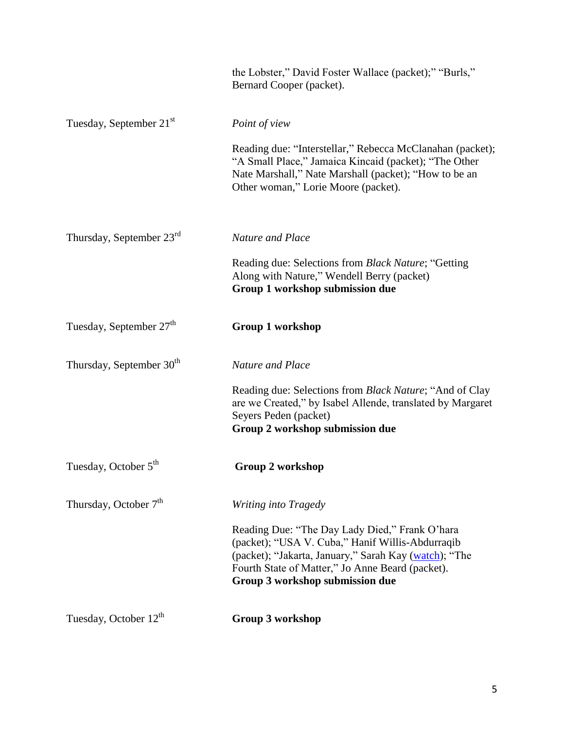|                                      | the Lobster," David Foster Wallace (packet);" "Burls,"<br>Bernard Cooper (packet).                                                                                                                                                                 |
|--------------------------------------|----------------------------------------------------------------------------------------------------------------------------------------------------------------------------------------------------------------------------------------------------|
| Tuesday, September 21 <sup>st</sup>  | Point of view                                                                                                                                                                                                                                      |
|                                      | Reading due: "Interstellar," Rebecca McClanahan (packet);<br>"A Small Place," Jamaica Kincaid (packet); "The Other<br>Nate Marshall," Nate Marshall (packet); "How to be an<br>Other woman," Lorie Moore (packet).                                 |
| Thursday, September 23rd             | Nature and Place                                                                                                                                                                                                                                   |
|                                      | Reading due: Selections from Black Nature; "Getting<br>Along with Nature," Wendell Berry (packet)<br>Group 1 workshop submission due                                                                                                               |
| Tuesday, September 27 <sup>th</sup>  | <b>Group 1 workshop</b>                                                                                                                                                                                                                            |
| Thursday, September 30 <sup>th</sup> | <b>Nature and Place</b>                                                                                                                                                                                                                            |
|                                      | Reading due: Selections from <i>Black Nature</i> ; "And of Clay<br>are we Created," by Isabel Allende, translated by Margaret<br>Seyers Peden (packet)<br>Group 2 workshop submission due                                                          |
| Tuesday, October 5 <sup>th</sup>     | Group 2 workshop                                                                                                                                                                                                                                   |
| Thursday, October 7 <sup>th</sup>    | Writing into Tragedy                                                                                                                                                                                                                               |
|                                      | Reading Due: "The Day Lady Died," Frank O'hara<br>(packet); "USA V. Cuba," Hanif Willis-Abdurraqib<br>(packet); "Jakarta, January," Sarah Kay (watch); "The<br>Fourth State of Matter," Jo Anne Beard (packet).<br>Group 3 workshop submission due |
| Tuesday, October 12 <sup>th</sup>    | <b>Group 3 workshop</b>                                                                                                                                                                                                                            |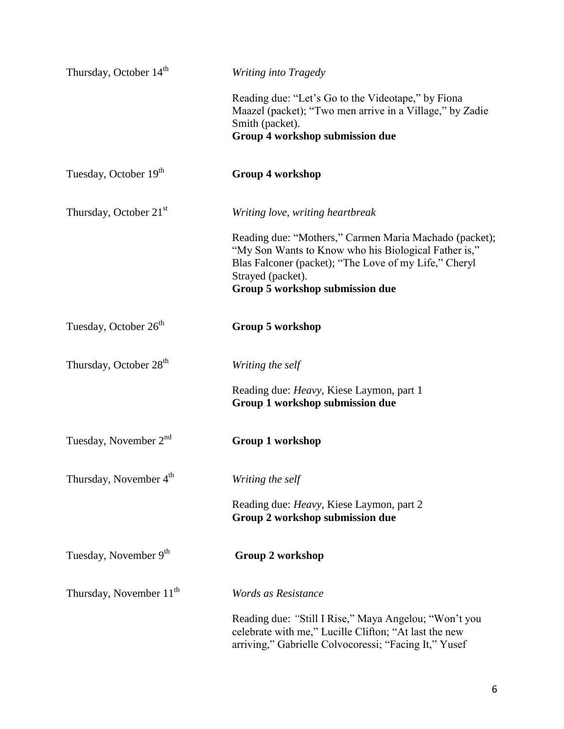| Thursday, October 14 <sup>th</sup>  | Writing into Tragedy                                                                                                                                                                                                            |
|-------------------------------------|---------------------------------------------------------------------------------------------------------------------------------------------------------------------------------------------------------------------------------|
|                                     | Reading due: "Let's Go to the Videotape," by Fiona<br>Maazel (packet); "Two men arrive in a Village," by Zadie<br>Smith (packet).                                                                                               |
|                                     | Group 4 workshop submission due                                                                                                                                                                                                 |
| Tuesday, October 19th               | <b>Group 4 workshop</b>                                                                                                                                                                                                         |
| Thursday, October 21 <sup>st</sup>  | Writing love, writing heartbreak                                                                                                                                                                                                |
|                                     | Reading due: "Mothers," Carmen Maria Machado (packet);<br>"My Son Wants to Know who his Biological Father is,"<br>Blas Falconer (packet); "The Love of my Life," Cheryl<br>Strayed (packet).<br>Group 5 workshop submission due |
| Tuesday, October 26 <sup>th</sup>   | Group 5 workshop                                                                                                                                                                                                                |
| Thursday, October 28 <sup>th</sup>  | Writing the self                                                                                                                                                                                                                |
|                                     | Reading due: Heavy, Kiese Laymon, part 1<br>Group 1 workshop submission due                                                                                                                                                     |
| Tuesday, November 2 <sup>nd</sup>   | <b>Group 1 workshop</b>                                                                                                                                                                                                         |
| Thursday, November 4 <sup>th</sup>  | Writing the self                                                                                                                                                                                                                |
|                                     | Reading due: <i>Heavy</i> , Kiese Laymon, part 2<br>Group 2 workshop submission due                                                                                                                                             |
| Tuesday, November 9th               | Group 2 workshop                                                                                                                                                                                                                |
| Thursday, November 11 <sup>th</sup> | Words as Resistance                                                                                                                                                                                                             |
|                                     | Reading due: "Still I Rise," Maya Angelou; "Won't you<br>celebrate with me," Lucille Clifton; "At last the new<br>arriving," Gabrielle Colvocoressi; "Facing It," Yusef                                                         |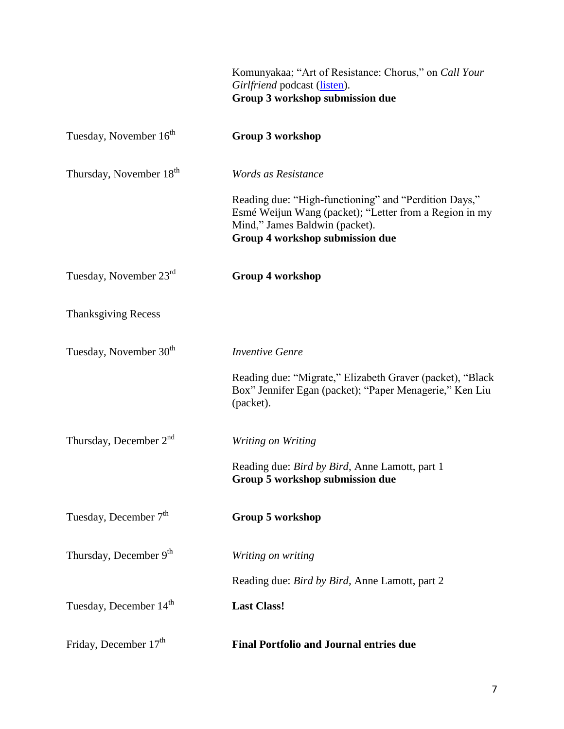|                                     | Komunyakaa; "Art of Resistance: Chorus," on <i>Call Your</i><br>Girlfriend podcast (listen).<br>Group 3 workshop submission due                                                      |
|-------------------------------------|--------------------------------------------------------------------------------------------------------------------------------------------------------------------------------------|
| Tuesday, November 16 <sup>th</sup>  | Group 3 workshop                                                                                                                                                                     |
| Thursday, November 18 <sup>th</sup> | Words as Resistance                                                                                                                                                                  |
|                                     | Reading due: "High-functioning" and "Perdition Days,"<br>Esmé Weijun Wang (packet); "Letter from a Region in my<br>Mind," James Baldwin (packet).<br>Group 4 workshop submission due |
| Tuesday, November 23rd              | <b>Group 4 workshop</b>                                                                                                                                                              |
| <b>Thanksgiving Recess</b>          |                                                                                                                                                                                      |
| Tuesday, November 30 <sup>th</sup>  | <b>Inventive Genre</b>                                                                                                                                                               |
|                                     | Reading due: "Migrate," Elizabeth Graver (packet), "Black<br>Box" Jennifer Egan (packet); "Paper Menagerie," Ken Liu<br>(packet).                                                    |
| Thursday, December $2nd$            | Writing on Writing                                                                                                                                                                   |
|                                     | Reading due: <i>Bird by Bird</i> , Anne Lamott, part 1<br>Group 5 workshop submission due                                                                                            |
| Tuesday, December 7 <sup>th</sup>   | Group 5 workshop                                                                                                                                                                     |
| Thursday, December 9th              | Writing on writing                                                                                                                                                                   |
|                                     | Reading due: <i>Bird by Bird</i> , Anne Lamott, part 2                                                                                                                               |
| Tuesday, December 14 <sup>th</sup>  | <b>Last Class!</b>                                                                                                                                                                   |
| Friday, December 17 <sup>th</sup>   | <b>Final Portfolio and Journal entries due</b>                                                                                                                                       |